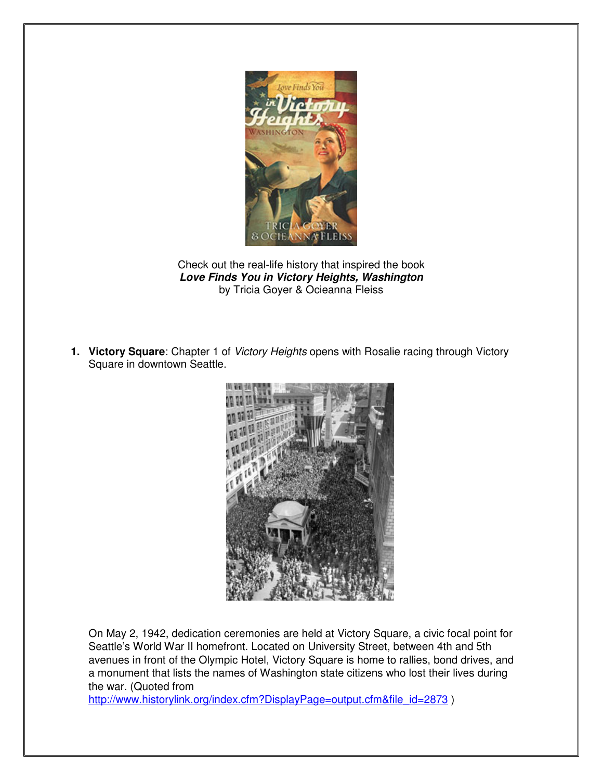

Check out the real-life history that inspired the book **Love Finds You in Victory Heights, Washington** by Tricia Goyer & Ocieanna Fleiss

**1. Victory Square**: Chapter 1 of Victory Heights opens with Rosalie racing through Victory Square in downtown Seattle.



On May 2, 1942, dedication ceremonies are held at Victory Square, a civic focal point for Seattle's World War II homefront. Located on University Street, between 4th and 5th avenues in front of the Olympic Hotel, Victory Square is home to rallies, bond drives, and a monument that lists the names of Washington state citizens who lost their lives during the war. (Quoted from

http://www.historylink.org/index.cfm?DisplayPage=output.cfm&file\_id=2873 )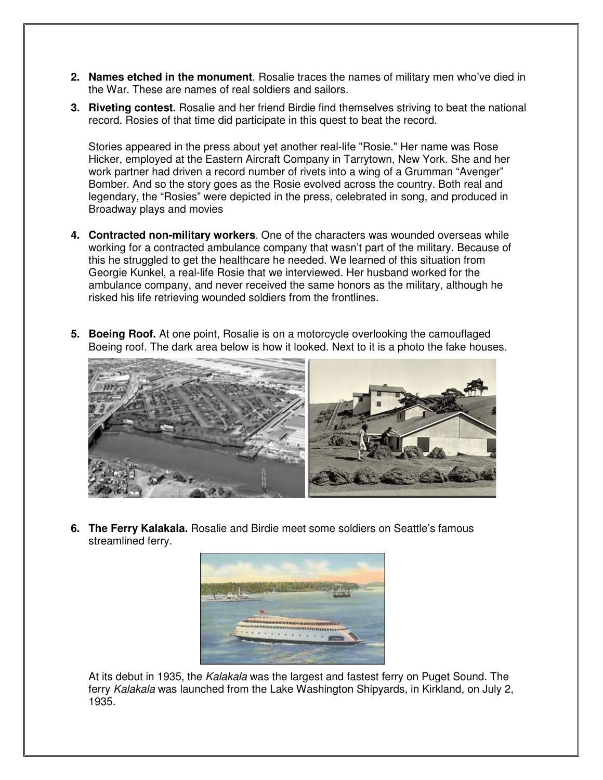- **2. Names etched in the monument**. Rosalie traces the names of military men who've died in the War. These are names of real soldiers and sailors.
- **3. Riveting contest.** Rosalie and her friend Birdie find themselves striving to beat the national record. Rosies of that time did participate in this quest to beat the record.

Stories appeared in the press about yet another real-life "Rosie." Her name was Rose Hicker, employed at the Eastern Aircraft Company in Tarrytown, New York. She and her work partner had driven a record number of rivets into a wing of a Grumman "Avenger" Bomber. And so the story goes as the Rosie evolved across the country. Both real and legendary, the "Rosies" were depicted in the press, celebrated in song, and produced in Broadway plays and movies

- **4. Contracted non-military workers**. One of the characters was wounded overseas while working for a contracted ambulance company that wasn't part of the military. Because of this he struggled to get the healthcare he needed. We learned of this situation from Georgie Kunkel, a real-life Rosie that we interviewed. Her husband worked for the ambulance company, and never received the same honors as the military, although he risked his life retrieving wounded soldiers from the frontlines.
- **5. Boeing Roof.** At one point, Rosalie is on a motorcycle overlooking the camouflaged Boeing roof. The dark area below is how it looked. Next to it is a photo the fake houses.



**6. The Ferry Kalakala.** Rosalie and Birdie meet some soldiers on Seattle's famous streamlined ferry.



At its debut in 1935, the Kalakala was the largest and fastest ferry on Puget Sound. The ferry *Kalakala* was launched from the Lake Washington Shipyards, in Kirkland, on July 2, 1935.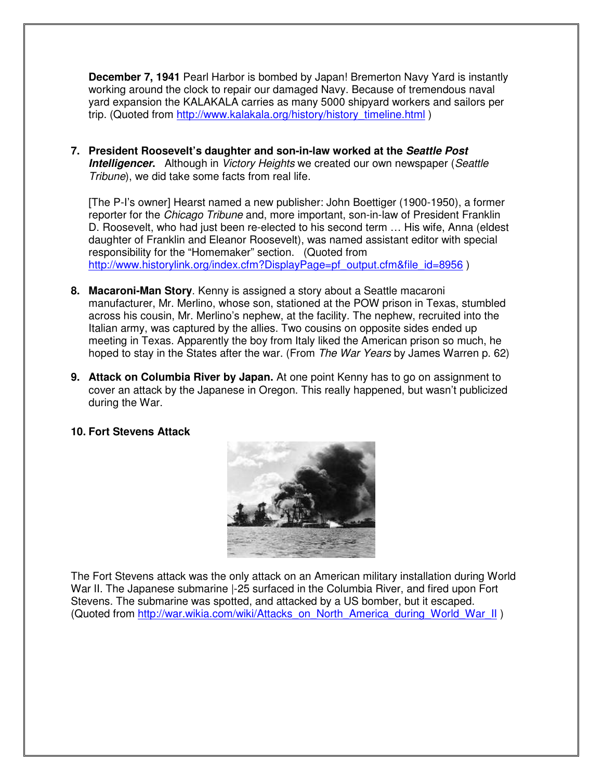**December 7, 1941** Pearl Harbor is bombed by Japan! Bremerton Navy Yard is instantly working around the clock to repair our damaged Navy. Because of tremendous naval yard expansion the KALAKALA carries as many 5000 shipyard workers and sailors per trip. (Quoted from http://www.kalakala.org/history/history\_timeline.html )

**7. President Roosevelt's daughter and son-in-law worked at the Seattle Post Intelligencer.** Although in *Victory Heights* we created our own newspaper (Seattle Tribune), we did take some facts from real life.

[The P-I's owner] Hearst named a new publisher: John Boettiger (1900-1950), a former reporter for the Chicago Tribune and, more important, son-in-law of President Franklin D. Roosevelt, who had just been re-elected to his second term … His wife, Anna (eldest daughter of Franklin and Eleanor Roosevelt), was named assistant editor with special responsibility for the "Homemaker" section. (Quoted from http://www.historylink.org/index.cfm?DisplayPage=pf\_output.cfm&file\_id=8956 )

- **8. Macaroni-Man Story**. Kenny is assigned a story about a Seattle macaroni manufacturer, Mr. Merlino, whose son, stationed at the POW prison in Texas, stumbled across his cousin, Mr. Merlino's nephew, at the facility. The nephew, recruited into the Italian army, was captured by the allies. Two cousins on opposite sides ended up meeting in Texas. Apparently the boy from Italy liked the American prison so much, he hoped to stay in the States after the war. (From The War Years by James Warren p. 62)
- **9. Attack on Columbia River by Japan.** At one point Kenny has to go on assignment to cover an attack by the Japanese in Oregon. This really happened, but wasn't publicized during the War.

## **10. Fort Stevens Attack**



The Fort Stevens attack was the only attack on an American military installation during World War II. The Japanese submarine -25 surfaced in the Columbia River, and fired upon Fort Stevens. The submarine was spotted, and attacked by a US bomber, but it escaped. (Quoted from http://war.wikia.com/wiki/Attacks\_on\_North\_America\_during\_World\_War\_II )